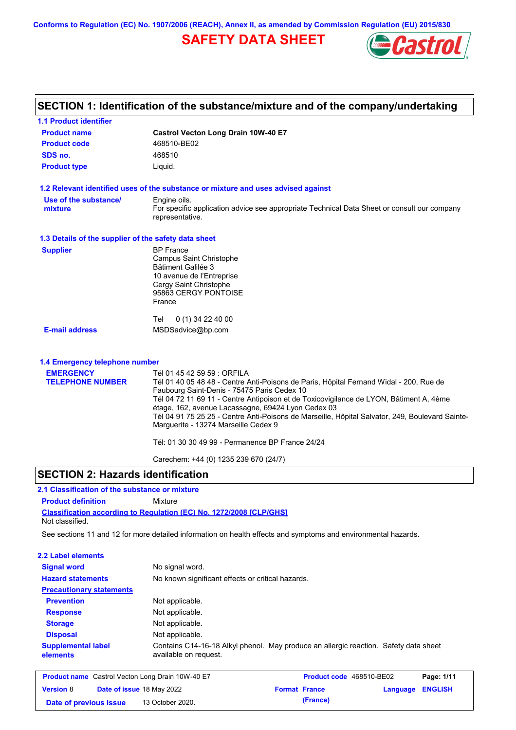**Conforms to Regulation (EC) No. 1907/2006 (REACH), Annex II, as amended by Commission Regulation (EU) 2015/830**

# **SAFETY DATA SHEET**



| <b>1.1 Product identifier</b>                        |                                                                                                                                                                                                                                                                                                                                                                                                                                                                                                                     |
|------------------------------------------------------|---------------------------------------------------------------------------------------------------------------------------------------------------------------------------------------------------------------------------------------------------------------------------------------------------------------------------------------------------------------------------------------------------------------------------------------------------------------------------------------------------------------------|
| <b>Product name</b>                                  | Castrol Vecton Long Drain 10W-40 E7                                                                                                                                                                                                                                                                                                                                                                                                                                                                                 |
| <b>Product code</b>                                  | 468510-BE02                                                                                                                                                                                                                                                                                                                                                                                                                                                                                                         |
| SDS no.                                              | 468510                                                                                                                                                                                                                                                                                                                                                                                                                                                                                                              |
| <b>Product type</b>                                  | Liquid.                                                                                                                                                                                                                                                                                                                                                                                                                                                                                                             |
|                                                      | 1.2 Relevant identified uses of the substance or mixture and uses advised against                                                                                                                                                                                                                                                                                                                                                                                                                                   |
| Use of the substance/<br>mixture                     | Engine oils.<br>For specific application advice see appropriate Technical Data Sheet or consult our company<br>representative.                                                                                                                                                                                                                                                                                                                                                                                      |
| 1.3 Details of the supplier of the safety data sheet |                                                                                                                                                                                                                                                                                                                                                                                                                                                                                                                     |
| <b>Supplier</b>                                      | <b>BP</b> France<br>Campus Saint Christophe<br>Bâtiment Galilée 3<br>10 avenue de l'Entreprise<br>Cergy Saint Christophe<br>95863 CERGY PONTOISE<br>France<br>0 (1) 34 22 40 00<br>Tel                                                                                                                                                                                                                                                                                                                              |
| <b>E-mail address</b>                                | MSDSadvice@bp.com                                                                                                                                                                                                                                                                                                                                                                                                                                                                                                   |
| 1.4 Emergency telephone number                       |                                                                                                                                                                                                                                                                                                                                                                                                                                                                                                                     |
| <b>EMERGENCY</b><br><b>TELEPHONE NUMBER</b>          | Tél 01 45 42 59 59 : ORFILA<br>Tél 01 40 05 48 48 - Centre Anti-Poisons de Paris, Hôpital Fernand Widal - 200, Rue de<br>Faubourg Saint-Denis - 75475 Paris Cedex 10<br>Tél 04 72 11 69 11 - Centre Antipoison et de Toxicovigilance de LYON, Bâtiment A, 4ème<br>étage, 162, avenue Lacassagne, 69424 Lyon Cedex 03<br>Tél 04 91 75 25 25 - Centre Anti-Poisons de Marseille, Hôpital Salvator, 249, Boulevard Sainte-<br>Marguerite - 13274 Marseille Cedex 9<br>Tél: 01 30 30 49 99 - Permanence BP France 24/24 |
|                                                      |                                                                                                                                                                                                                                                                                                                                                                                                                                                                                                                     |
|                                                      | Carechem: +44 (0) 1235 239 670 (24/7)                                                                                                                                                                                                                                                                                                                                                                                                                                                                               |

## **SECTION 2: Hazards identification**

## **2.1 Classification of the substance or mixture**

**Classification according to Regulation (EC) No. 1272/2008 [CLP/GHS] Product definition** Mixture Not classified.

**Date of previous issue (France)** 13 October 2020.

See sections 11 and 12 for more detailed information on health effects and symptoms and environmental hazards.

| 2.2 Label elements                    |                                                         |                                                                                      |          |                |
|---------------------------------------|---------------------------------------------------------|--------------------------------------------------------------------------------------|----------|----------------|
| <b>Signal word</b>                    | No signal word.                                         |                                                                                      |          |                |
| <b>Hazard statements</b>              | No known significant effects or critical hazards.       |                                                                                      |          |                |
| <b>Precautionary statements</b>       |                                                         |                                                                                      |          |                |
| <b>Prevention</b>                     | Not applicable.                                         |                                                                                      |          |                |
| <b>Response</b>                       | Not applicable.                                         |                                                                                      |          |                |
| <b>Storage</b>                        | Not applicable.                                         |                                                                                      |          |                |
| <b>Disposal</b>                       | Not applicable.                                         |                                                                                      |          |                |
| <b>Supplemental label</b><br>elements | available on request.                                   | Contains C14-16-18 Alkyl phenol. May produce an allergic reaction. Safety data sheet |          |                |
|                                       | <b>Product name</b> Castrol Vecton Long Drain 10W-40 E7 | Product code 468510-BE02                                                             |          | Page: 1/11     |
| <b>Version 8</b>                      | Date of issue 18 May 2022                               | <b>Format France</b>                                                                 | Language | <b>ENGLISH</b> |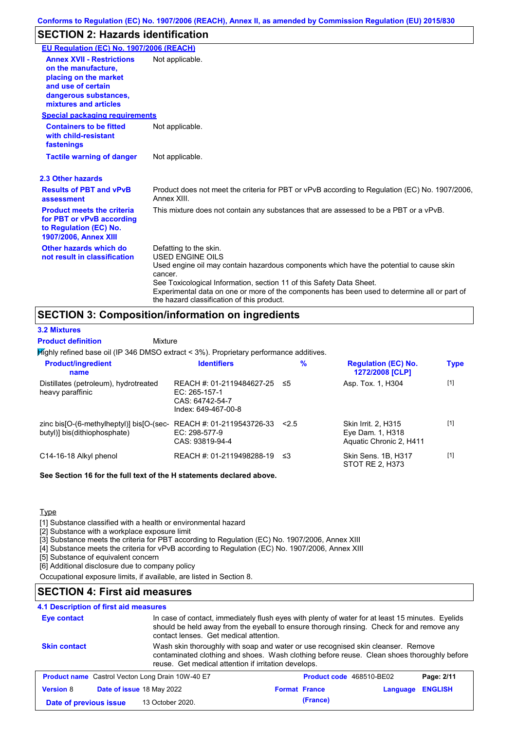## **SECTION 2: Hazards identification**

| EU Regulation (EC) No. 1907/2006 (REACH)                                                                                                                 |                                                                                                                                                                                                                                                                                                                                                                               |
|----------------------------------------------------------------------------------------------------------------------------------------------------------|-------------------------------------------------------------------------------------------------------------------------------------------------------------------------------------------------------------------------------------------------------------------------------------------------------------------------------------------------------------------------------|
| <b>Annex XVII - Restrictions</b><br>on the manufacture.<br>placing on the market<br>and use of certain<br>dangerous substances,<br>mixtures and articles | Not applicable.                                                                                                                                                                                                                                                                                                                                                               |
| <b>Special packaging requirements</b>                                                                                                                    |                                                                                                                                                                                                                                                                                                                                                                               |
| <b>Containers to be fitted</b><br>with child-resistant<br>fastenings                                                                                     | Not applicable.                                                                                                                                                                                                                                                                                                                                                               |
| <b>Tactile warning of danger</b>                                                                                                                         | Not applicable.                                                                                                                                                                                                                                                                                                                                                               |
| 2.3 Other hazards                                                                                                                                        |                                                                                                                                                                                                                                                                                                                                                                               |
| <b>Results of PBT and vPvB</b><br>assessment                                                                                                             | Product does not meet the criteria for PBT or vPvB according to Regulation (EC) No. 1907/2006,<br>Annex XIII.                                                                                                                                                                                                                                                                 |
| <b>Product meets the criteria</b><br>for PBT or vPvB according<br>to Regulation (EC) No.<br><b>1907/2006, Annex XIII</b>                                 | This mixture does not contain any substances that are assessed to be a PBT or a vPvB.                                                                                                                                                                                                                                                                                         |
| Other hazards which do<br>not result in classification                                                                                                   | Defatting to the skin.<br><b>USED ENGINE OILS</b><br>Used engine oil may contain hazardous components which have the potential to cause skin<br>cancer.<br>See Toxicological Information, section 11 of this Safety Data Sheet.<br>Experimental data on one or more of the components has been used to determine all or part of<br>the hazard classification of this product. |

## **SECTION 3: Composition/information on ingredients**

**Highly refined base oil (IP 346 DMSO extract < 3%). Proprietary performance additives.** Distillates (petroleum), hydrotreated heavy paraffinic REACH #: 01-2119484627-25 EC: 265-157-1 CAS: 64742-54-7 Index: 649-467-00-8 Asp. Tox. 1, H304 [1] zinc bis[O-(6-methylheptyl)] bis[O-(sec-REACH #: 01-2119543726-33 butyl)] bis(dithiophosphate) EC: 298-577-9 CAS: 93819-94-4 Skin Irrit. 2, H315 Eye Dam. 1, H318 Aquatic Chronic 2, H411 [1] C14-16-18 Alkyl phenol REACH #: 01-2119498288-19 ≤3 Skin Sens. 1B, H317 STOT RE 2, H373 [1] **Product/ingredient name % Regulation (EC) No. Identifiers Type 1272/2008 [CLP] Mixture 3.2 Mixtures Product definition**

**See Section 16 for the full text of the H statements declared above.**

**Type** 

[1] Substance classified with a health or environmental hazard

[2] Substance with a workplace exposure limit

[3] Substance meets the criteria for PBT according to Regulation (EC) No. 1907/2006, Annex XIII

[4] Substance meets the criteria for vPvB according to Regulation (EC) No. 1907/2006, Annex XIII

[5] Substance of equivalent concern

[6] Additional disclosure due to company policy

Occupational exposure limits, if available, are listed in Section 8.

#### **SECTION 4: First aid measures**

#### **4.1 Description of first aid measures**

| <b>Eye contact</b>                                                                                                                                                                                                                                            |                  | In case of contact, immediately flush eyes with plenty of water for at least 15 minutes. Eyelids<br>should be held away from the eyeball to ensure thorough rinsing. Check for and remove any<br>contact lenses. Get medical attention. |                          |          |                |
|---------------------------------------------------------------------------------------------------------------------------------------------------------------------------------------------------------------------------------------------------------------|------------------|-----------------------------------------------------------------------------------------------------------------------------------------------------------------------------------------------------------------------------------------|--------------------------|----------|----------------|
| <b>Skin contact</b><br>Wash skin thoroughly with soap and water or use recognised skin cleanser. Remove<br>contaminated clothing and shoes. Wash clothing before reuse. Clean shoes thoroughly before<br>reuse. Get medical attention if irritation develops. |                  |                                                                                                                                                                                                                                         |                          |          |                |
| <b>Product name</b> Castrol Vecton Long Drain 10W-40 E7                                                                                                                                                                                                       |                  |                                                                                                                                                                                                                                         | Product code 468510-BE02 |          | Page: 2/11     |
| <b>Version 8</b><br>Date of issue 18 May 2022                                                                                                                                                                                                                 |                  |                                                                                                                                                                                                                                         | <b>Format France</b>     | Language | <b>ENGLISH</b> |
| Date of previous issue                                                                                                                                                                                                                                        | 13 October 2020. |                                                                                                                                                                                                                                         | (France)                 |          |                |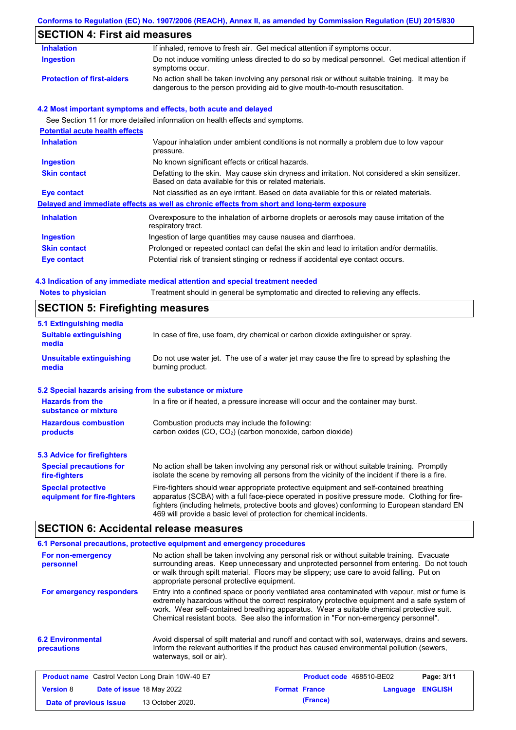# **Conforms to Regulation (EC) No. 1907/2006 (REACH), Annex II, as amended by Commission Regulation (EU) 2015/830**

# **SECTION 4: First aid measures**

| <b>Inhalation</b>                     | If inhaled, remove to fresh air. Get medical attention if symptoms occur.                                                                                                   |
|---------------------------------------|-----------------------------------------------------------------------------------------------------------------------------------------------------------------------------|
| <b>Ingestion</b>                      | Do not induce vomiting unless directed to do so by medical personnel. Get medical attention if<br>symptoms occur.                                                           |
| <b>Protection of first-aiders</b>     | No action shall be taken involving any personal risk or without suitable training. It may be<br>dangerous to the person providing aid to give mouth-to-mouth resuscitation. |
|                                       | 4.2 Most important symptoms and effects, both acute and delayed                                                                                                             |
|                                       | See Section 11 for more detailed information on health effects and symptoms.                                                                                                |
| <b>Potential acute health effects</b> |                                                                                                                                                                             |
| <b>Inhalation</b>                     | Vapour inhalation under ambient conditions is not normally a problem due to low vapour<br>pressure.                                                                         |
| <b>Ingestion</b>                      | No known significant effects or critical hazards.                                                                                                                           |
| <b>Skin contact</b>                   | Defatting to the skin. May cause skin dryness and irritation. Not considered a skin sensitizer.<br>Based on data available for this or related materials.                   |
| <b>Eye contact</b>                    | Not classified as an eye irritant. Based on data available for this or related materials.                                                                                   |
|                                       | Delayed and immediate effects as well as chronic effects from short and long-term exposure                                                                                  |
| <b>Inhalation</b>                     | Overexposure to the inhalation of airborne droplets or aerosols may cause irritation of the<br>respiratory tract.                                                           |
| <b>Ingestion</b>                      | Ingestion of large quantities may cause nausea and diarrhoea.                                                                                                               |
| <b>Skin contact</b>                   | Prolonged or repeated contact can defat the skin and lead to irritation and/or dermatitis.                                                                                  |
| Eye contact                           | Potential risk of transient stinging or redness if accidental eye contact occurs.                                                                                           |
|                                       | 4.3 Indication of any immediate medical attention and special treatment needed                                                                                              |
| <b>Notes to physician</b>             | Treatment should in general be symptomatic and directed to relieving any effects.                                                                                           |

# **SECTION 5: Firefighting measures**

| 5.1 Extinguishing media                                   |                                                                                                                                                                                                                                                                                                                                                                   |
|-----------------------------------------------------------|-------------------------------------------------------------------------------------------------------------------------------------------------------------------------------------------------------------------------------------------------------------------------------------------------------------------------------------------------------------------|
| <b>Suitable extinguishing</b><br>media                    | In case of fire, use foam, dry chemical or carbon dioxide extinguisher or spray.                                                                                                                                                                                                                                                                                  |
| Unsuitable extinguishing<br>media                         | Do not use water jet. The use of a water jet may cause the fire to spread by splashing the<br>burning product.                                                                                                                                                                                                                                                    |
| 5.2 Special hazards arising from the substance or mixture |                                                                                                                                                                                                                                                                                                                                                                   |
| <b>Hazards from the</b><br>substance or mixture           | In a fire or if heated, a pressure increase will occur and the container may burst.                                                                                                                                                                                                                                                                               |
| <b>Hazardous combustion</b><br>products                   | Combustion products may include the following:<br>carbon oxides $(CO, CO2)$ (carbon monoxide, carbon dioxide)                                                                                                                                                                                                                                                     |
| 5.3 Advice for firefighters                               |                                                                                                                                                                                                                                                                                                                                                                   |
| <b>Special precautions for</b><br>fire-fighters           | No action shall be taken involving any personal risk or without suitable training. Promptly<br>isolate the scene by removing all persons from the vicinity of the incident if there is a fire.                                                                                                                                                                    |
| <b>Special protective</b><br>equipment for fire-fighters  | Fire-fighters should wear appropriate protective equipment and self-contained breathing<br>apparatus (SCBA) with a full face-piece operated in positive pressure mode. Clothing for fire-<br>fighters (including helmets, protective boots and gloves) conforming to European standard EN<br>469 will provide a basic level of protection for chemical incidents. |

# **SECTION 6: Accidental release measures**

|                                                         | 6.1 Personal precautions, protective equipment and emergency procedures                                                                                                                                                                                                                                                                                                              |                      |                                 |                |  |
|---------------------------------------------------------|--------------------------------------------------------------------------------------------------------------------------------------------------------------------------------------------------------------------------------------------------------------------------------------------------------------------------------------------------------------------------------------|----------------------|---------------------------------|----------------|--|
| For non-emergency<br>personnel                          | No action shall be taken involving any personal risk or without suitable training. Evacuate<br>surrounding areas. Keep unnecessary and unprotected personnel from entering. Do not touch<br>or walk through spilt material. Floors may be slippery; use care to avoid falling. Put on<br>appropriate personal protective equipment.                                                  |                      |                                 |                |  |
| For emergency responders                                | Entry into a confined space or poorly ventilated area contaminated with vapour, mist or fume is<br>extremely hazardous without the correct respiratory protective equipment and a safe system of<br>work. Wear self-contained breathing apparatus. Wear a suitable chemical protective suit.<br>Chemical resistant boots. See also the information in "For non-emergency personnel". |                      |                                 |                |  |
| <b>6.2 Environmental</b><br><b>precautions</b>          | Avoid dispersal of spilt material and runoff and contact with soil, waterways, drains and sewers.<br>Inform the relevant authorities if the product has caused environmental pollution (sewers,<br>waterways, soil or air).                                                                                                                                                          |                      |                                 |                |  |
| <b>Product name</b> Castrol Vecton Long Drain 10W-40 E7 |                                                                                                                                                                                                                                                                                                                                                                                      |                      | <b>Product code</b> 468510-BE02 | Page: 3/11     |  |
| <b>Version 8</b><br>Date of issue 18 May 2022           |                                                                                                                                                                                                                                                                                                                                                                                      | <b>Format France</b> | Language                        | <b>ENGLISH</b> |  |
| Date of previous issue                                  | 13 October 2020.                                                                                                                                                                                                                                                                                                                                                                     | (France)             |                                 |                |  |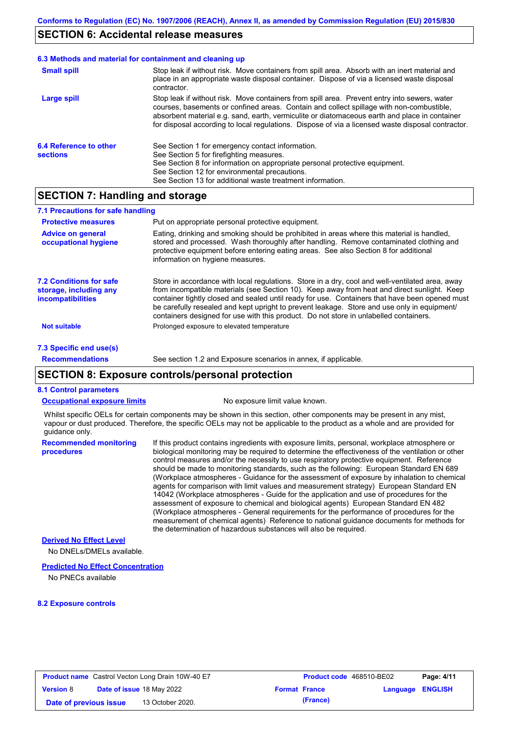## **SECTION 6: Accidental release measures**

# **6.3 Methods and material for containment and cleaning up**

| <b>Small spill</b>     | Stop leak if without risk. Move containers from spill area. Absorb with an inert material and<br>place in an appropriate waste disposal container. Dispose of via a licensed waste disposal<br>contractor.                                                                                                                                                                                     |
|------------------------|------------------------------------------------------------------------------------------------------------------------------------------------------------------------------------------------------------------------------------------------------------------------------------------------------------------------------------------------------------------------------------------------|
| Large spill            | Stop leak if without risk. Move containers from spill area. Prevent entry into sewers, water<br>courses, basements or confined areas. Contain and collect spillage with non-combustible,<br>absorbent material e.g. sand, earth, vermiculite or diatomaceous earth and place in container<br>for disposal according to local regulations. Dispose of via a licensed waste disposal contractor. |
| 6.4 Reference to other | See Section 1 for emergency contact information.                                                                                                                                                                                                                                                                                                                                               |
| <b>sections</b>        | See Section 5 for firefighting measures.                                                                                                                                                                                                                                                                                                                                                       |
|                        | See Section 8 for information on appropriate personal protective equipment.                                                                                                                                                                                                                                                                                                                    |
|                        | See Section 12 for environmental precautions.                                                                                                                                                                                                                                                                                                                                                  |
|                        | See Section 13 for additional waste treatment information.                                                                                                                                                                                                                                                                                                                                     |

## **SECTION 7: Handling and storage**

| 7.1 Precautions for safe handling                                                    |                                                                                                                                                                                                                                                                                                                                                                                                                                                                                          |
|--------------------------------------------------------------------------------------|------------------------------------------------------------------------------------------------------------------------------------------------------------------------------------------------------------------------------------------------------------------------------------------------------------------------------------------------------------------------------------------------------------------------------------------------------------------------------------------|
| <b>Protective measures</b>                                                           | Put on appropriate personal protective equipment.                                                                                                                                                                                                                                                                                                                                                                                                                                        |
| <b>Advice on general</b><br>occupational hygiene                                     | Eating, drinking and smoking should be prohibited in areas where this material is handled,<br>stored and processed. Wash thoroughly after handling. Remove contaminated clothing and<br>protective equipment before entering eating areas. See also Section 8 for additional<br>information on hygiene measures.                                                                                                                                                                         |
| <b>7.2 Conditions for safe</b><br>storage, including any<br><i>incompatibilities</i> | Store in accordance with local regulations. Store in a dry, cool and well-ventilated area, away<br>from incompatible materials (see Section 10). Keep away from heat and direct sunlight. Keep<br>container tightly closed and sealed until ready for use. Containers that have been opened must<br>be carefully resealed and kept upright to prevent leakage. Store and use only in equipment/<br>containers designed for use with this product. Do not store in unlabelled containers. |
| <b>Not suitable</b>                                                                  | Prolonged exposure to elevated temperature                                                                                                                                                                                                                                                                                                                                                                                                                                               |
| 7.3 Specific end use(s)                                                              |                                                                                                                                                                                                                                                                                                                                                                                                                                                                                          |

#### **Recommendations**

See section 1.2 and Exposure scenarios in annex, if applicable.

#### **SECTION 8: Exposure controls/personal protection**

#### **8.1 Control parameters**

**Occupational exposure limits** No exposure limit value known.

Whilst specific OELs for certain components may be shown in this section, other components may be present in any mist, vapour or dust produced. Therefore, the specific OELs may not be applicable to the product as a whole and are provided for guidance only.

**Recommended monitoring procedures** If this product contains ingredients with exposure limits, personal, workplace atmosphere or biological monitoring may be required to determine the effectiveness of the ventilation or other control measures and/or the necessity to use respiratory protective equipment. Reference should be made to monitoring standards, such as the following: European Standard EN 689 (Workplace atmospheres - Guidance for the assessment of exposure by inhalation to chemical agents for comparison with limit values and measurement strategy) European Standard EN 14042 (Workplace atmospheres - Guide for the application and use of procedures for the assessment of exposure to chemical and biological agents) European Standard EN 482 (Workplace atmospheres - General requirements for the performance of procedures for the measurement of chemical agents) Reference to national guidance documents for methods for the determination of hazardous substances will also be required.

#### **Derived No Effect Level**

No DNELs/DMELs available.

#### **Predicted No Effect Concentration**

No PNECs available

#### **8.2 Exposure controls**

| <b>Product name</b> Castrol Vecton Long Drain 10W-40 E7 |  |                                  | <b>Product code</b> 468510-BE02 |                      | Page: 4/11       |  |
|---------------------------------------------------------|--|----------------------------------|---------------------------------|----------------------|------------------|--|
| <b>Version 8</b>                                        |  | <b>Date of issue 18 May 2022</b> |                                 | <b>Format France</b> | Language ENGLISH |  |
| Date of previous issue                                  |  | 13 October 2020.                 |                                 | (France)             |                  |  |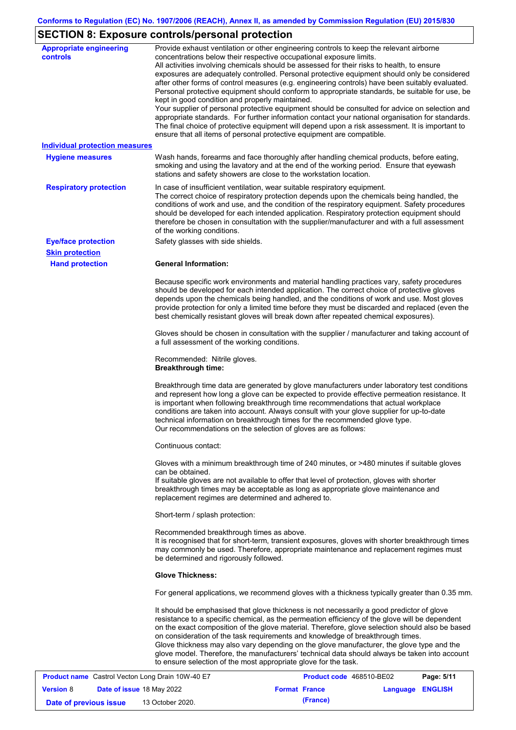# **SECTION 8: Exposure controls/personal protection**

| <b>Appropriate engineering</b><br><b>controls</b>       | Provide exhaust ventilation or other engineering controls to keep the relevant airborne<br>concentrations below their respective occupational exposure limits.<br>All activities involving chemicals should be assessed for their risks to health, to ensure<br>exposures are adequately controlled. Personal protective equipment should only be considered<br>after other forms of control measures (e.g. engineering controls) have been suitably evaluated.<br>Personal protective equipment should conform to appropriate standards, be suitable for use, be<br>kept in good condition and properly maintained.<br>Your supplier of personal protective equipment should be consulted for advice on selection and<br>appropriate standards. For further information contact your national organisation for standards.<br>The final choice of protective equipment will depend upon a risk assessment. It is important to<br>ensure that all items of personal protective equipment are compatible. |
|---------------------------------------------------------|---------------------------------------------------------------------------------------------------------------------------------------------------------------------------------------------------------------------------------------------------------------------------------------------------------------------------------------------------------------------------------------------------------------------------------------------------------------------------------------------------------------------------------------------------------------------------------------------------------------------------------------------------------------------------------------------------------------------------------------------------------------------------------------------------------------------------------------------------------------------------------------------------------------------------------------------------------------------------------------------------------|
| <b>Individual protection measures</b>                   |                                                                                                                                                                                                                                                                                                                                                                                                                                                                                                                                                                                                                                                                                                                                                                                                                                                                                                                                                                                                         |
| <b>Hygiene measures</b>                                 | Wash hands, forearms and face thoroughly after handling chemical products, before eating,<br>smoking and using the lavatory and at the end of the working period. Ensure that eyewash<br>stations and safety showers are close to the workstation location.                                                                                                                                                                                                                                                                                                                                                                                                                                                                                                                                                                                                                                                                                                                                             |
| <b>Respiratory protection</b>                           | In case of insufficient ventilation, wear suitable respiratory equipment.<br>The correct choice of respiratory protection depends upon the chemicals being handled, the<br>conditions of work and use, and the condition of the respiratory equipment. Safety procedures<br>should be developed for each intended application. Respiratory protection equipment should<br>therefore be chosen in consultation with the supplier/manufacturer and with a full assessment<br>of the working conditions.                                                                                                                                                                                                                                                                                                                                                                                                                                                                                                   |
| <b>Eye/face protection</b>                              | Safety glasses with side shields.                                                                                                                                                                                                                                                                                                                                                                                                                                                                                                                                                                                                                                                                                                                                                                                                                                                                                                                                                                       |
| <b>Skin protection</b>                                  |                                                                                                                                                                                                                                                                                                                                                                                                                                                                                                                                                                                                                                                                                                                                                                                                                                                                                                                                                                                                         |
| <b>Hand protection</b>                                  | <b>General Information:</b>                                                                                                                                                                                                                                                                                                                                                                                                                                                                                                                                                                                                                                                                                                                                                                                                                                                                                                                                                                             |
|                                                         | Because specific work environments and material handling practices vary, safety procedures<br>should be developed for each intended application. The correct choice of protective gloves<br>depends upon the chemicals being handled, and the conditions of work and use. Most gloves<br>provide protection for only a limited time before they must be discarded and replaced (even the<br>best chemically resistant gloves will break down after repeated chemical exposures).                                                                                                                                                                                                                                                                                                                                                                                                                                                                                                                        |
|                                                         | Gloves should be chosen in consultation with the supplier / manufacturer and taking account of<br>a full assessment of the working conditions.                                                                                                                                                                                                                                                                                                                                                                                                                                                                                                                                                                                                                                                                                                                                                                                                                                                          |
|                                                         | Recommended: Nitrile gloves.<br><b>Breakthrough time:</b>                                                                                                                                                                                                                                                                                                                                                                                                                                                                                                                                                                                                                                                                                                                                                                                                                                                                                                                                               |
|                                                         | Breakthrough time data are generated by glove manufacturers under laboratory test conditions<br>and represent how long a glove can be expected to provide effective permeation resistance. It<br>is important when following breakthrough time recommendations that actual workplace<br>conditions are taken into account. Always consult with your glove supplier for up-to-date<br>technical information on breakthrough times for the recommended glove type.<br>Our recommendations on the selection of gloves are as follows:                                                                                                                                                                                                                                                                                                                                                                                                                                                                      |
|                                                         | Continuous contact:                                                                                                                                                                                                                                                                                                                                                                                                                                                                                                                                                                                                                                                                                                                                                                                                                                                                                                                                                                                     |
|                                                         | Gloves with a minimum breakthrough time of 240 minutes, or >480 minutes if suitable gloves<br>can be obtained.<br>If suitable gloves are not available to offer that level of protection, gloves with shorter<br>breakthrough times may be acceptable as long as appropriate glove maintenance and<br>replacement regimes are determined and adhered to.                                                                                                                                                                                                                                                                                                                                                                                                                                                                                                                                                                                                                                                |
|                                                         | Short-term / splash protection:                                                                                                                                                                                                                                                                                                                                                                                                                                                                                                                                                                                                                                                                                                                                                                                                                                                                                                                                                                         |
|                                                         | Recommended breakthrough times as above.<br>It is recognised that for short-term, transient exposures, gloves with shorter breakthrough times<br>may commonly be used. Therefore, appropriate maintenance and replacement regimes must<br>be determined and rigorously followed.                                                                                                                                                                                                                                                                                                                                                                                                                                                                                                                                                                                                                                                                                                                        |
|                                                         | <b>Glove Thickness:</b>                                                                                                                                                                                                                                                                                                                                                                                                                                                                                                                                                                                                                                                                                                                                                                                                                                                                                                                                                                                 |
|                                                         | For general applications, we recommend gloves with a thickness typically greater than 0.35 mm.                                                                                                                                                                                                                                                                                                                                                                                                                                                                                                                                                                                                                                                                                                                                                                                                                                                                                                          |
|                                                         | It should be emphasised that glove thickness is not necessarily a good predictor of glove<br>resistance to a specific chemical, as the permeation efficiency of the glove will be dependent<br>on the exact composition of the glove material. Therefore, glove selection should also be based<br>on consideration of the task requirements and knowledge of breakthrough times.<br>Glove thickness may also vary depending on the glove manufacturer, the glove type and the<br>glove model. Therefore, the manufacturers' technical data should always be taken into account<br>to ensure selection of the most appropriate glove for the task.                                                                                                                                                                                                                                                                                                                                                       |
| <b>Product name</b> Castrol Vector Long Drain 10W-40 F7 | <b>Product code</b> 468510-RE02<br>P <sub>2</sub> na: 5/11                                                                                                                                                                                                                                                                                                                                                                                                                                                                                                                                                                                                                                                                                                                                                                                                                                                                                                                                              |

| <b>Product name</b> Castrol Vecton Long Drain 10W-40 E7 |                                  |                  | Product code 468510-BE02 |          | Page: 5/11       |  |
|---------------------------------------------------------|----------------------------------|------------------|--------------------------|----------|------------------|--|
| <b>Version 8</b>                                        | <b>Date of issue 18 May 2022</b> |                  | <b>Format France</b>     |          | Language ENGLISH |  |
| Date of previous issue                                  |                                  | 13 October 2020. |                          | (France) |                  |  |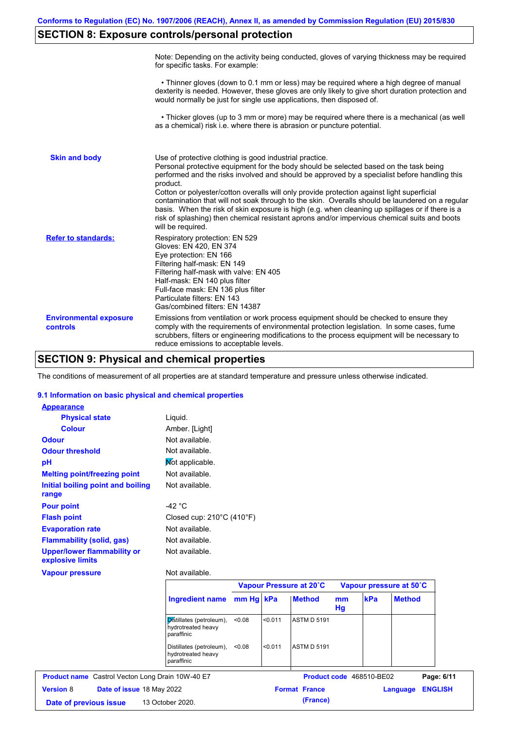# **SECTION 8: Exposure controls/personal protection**

|                                           | Note: Depending on the activity being conducted, gloves of varying thickness may be required<br>for specific tasks. For example:                                                                                                                                                                                                                                                                                                                                                                                                                                                                                                                                                      |
|-------------------------------------------|---------------------------------------------------------------------------------------------------------------------------------------------------------------------------------------------------------------------------------------------------------------------------------------------------------------------------------------------------------------------------------------------------------------------------------------------------------------------------------------------------------------------------------------------------------------------------------------------------------------------------------------------------------------------------------------|
|                                           | • Thinner gloves (down to 0.1 mm or less) may be required where a high degree of manual<br>dexterity is needed. However, these gloves are only likely to give short duration protection and<br>would normally be just for single use applications, then disposed of.                                                                                                                                                                                                                                                                                                                                                                                                                  |
|                                           | • Thicker gloves (up to 3 mm or more) may be required where there is a mechanical (as well<br>as a chemical) risk i.e. where there is abrasion or puncture potential.                                                                                                                                                                                                                                                                                                                                                                                                                                                                                                                 |
| <b>Skin and body</b>                      | Use of protective clothing is good industrial practice.<br>Personal protective equipment for the body should be selected based on the task being<br>performed and the risks involved and should be approved by a specialist before handling this<br>product.<br>Cotton or polyester/cotton overalls will only provide protection against light superficial<br>contamination that will not soak through to the skin. Overalls should be laundered on a regular<br>basis. When the risk of skin exposure is high (e.g. when cleaning up spillages or if there is a<br>risk of splashing) then chemical resistant aprons and/or impervious chemical suits and boots<br>will be required. |
| <b>Refer to standards:</b>                | Respiratory protection: EN 529<br>Gloves: EN 420, EN 374<br>Eye protection: EN 166<br>Filtering half-mask: EN 149<br>Filtering half-mask with valve: EN 405<br>Half-mask: EN 140 plus filter<br>Full-face mask: EN 136 plus filter<br>Particulate filters: EN 143<br>Gas/combined filters: EN 14387                                                                                                                                                                                                                                                                                                                                                                                   |
| <b>Environmental exposure</b><br>controls | Emissions from ventilation or work process equipment should be checked to ensure they<br>comply with the requirements of environmental protection legislation. In some cases, fume<br>scrubbers, filters or engineering modifications to the process equipment will be necessary to<br>reduce emissions to acceptable levels.                                                                                                                                                                                                                                                                                                                                                         |

# **SECTION 9: Physical and chemical properties**

The conditions of measurement of all properties are at standard temperature and pressure unless otherwise indicated.

#### **9.1 Information on basic physical and chemical properties**

| <b>Appearance</b>                                      |                                                              |           |         |                         |          |     |                         |
|--------------------------------------------------------|--------------------------------------------------------------|-----------|---------|-------------------------|----------|-----|-------------------------|
| <b>Physical state</b>                                  | Liquid.                                                      |           |         |                         |          |     |                         |
| <b>Colour</b>                                          | Amber. [Light]                                               |           |         |                         |          |     |                         |
| <b>Odour</b>                                           | Not available.                                               |           |         |                         |          |     |                         |
| <b>Odour threshold</b>                                 | Not available.                                               |           |         |                         |          |     |                         |
| pH                                                     | Mot applicable.                                              |           |         |                         |          |     |                         |
| <b>Melting point/freezing point</b>                    | Not available.                                               |           |         |                         |          |     |                         |
| Initial boiling point and boiling<br>range             | Not available.                                               |           |         |                         |          |     |                         |
| <b>Pour point</b>                                      | -42 $\degree$ C                                              |           |         |                         |          |     |                         |
| <b>Flash point</b>                                     | Closed cup: $210^{\circ}$ C (410 $^{\circ}$ F)               |           |         |                         |          |     |                         |
| <b>Evaporation rate</b>                                | Not available.                                               |           |         |                         |          |     |                         |
| <b>Flammability (solid, gas)</b>                       | Not available.                                               |           |         |                         |          |     |                         |
| <b>Upper/lower flammability or</b><br>explosive limits | Not available.                                               |           |         |                         |          |     |                         |
| <b>Vapour pressure</b>                                 | Not available.                                               |           |         |                         |          |     |                         |
|                                                        |                                                              |           |         | Vapour Pressure at 20°C |          |     | Vapour pressure at 50°C |
|                                                        | <b>Ingredient name</b>                                       | mm Hg kPa |         | <b>Method</b>           | mm<br>Hg | kPa | <b>Method</b>           |
|                                                        | Distillates (petroleum),<br>hydrotreated heavy<br>paraffinic | < 0.08    | < 0.011 | <b>ASTM D 5191</b>      |          |     |                         |
|                                                        | Distillates (petroleum),<br>hydrotreated heavy               | < 0.08    | < 0.011 | <b>ASTM D 5191</b>      |          |     |                         |

paraffinic

|                        |                                  | <b>Product name</b> Castrol Vecton Long Drain 10W-40 E7 |                      | Product code 468510-BE02 |                  | Page: 6/11 |
|------------------------|----------------------------------|---------------------------------------------------------|----------------------|--------------------------|------------------|------------|
| <b>Version 8</b>       | <b>Date of issue 18 May 2022</b> |                                                         | <b>Format France</b> |                          | Language ENGLISH |            |
| Date of previous issue |                                  | 13 October 2020.                                        |                      | (France)                 |                  |            |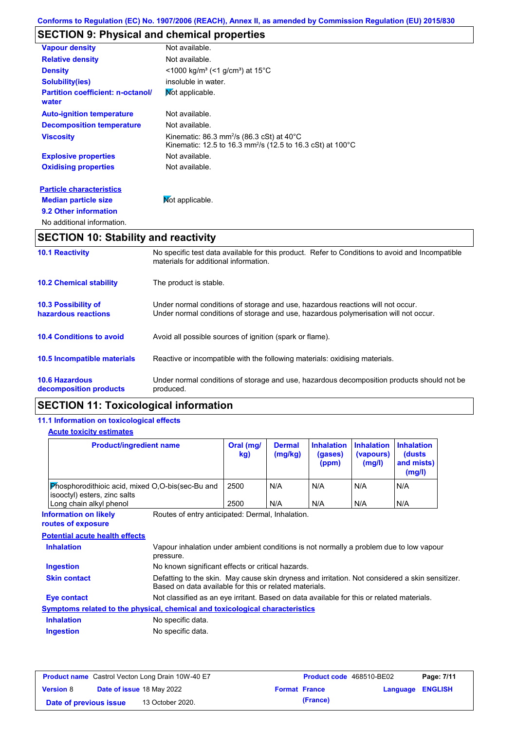# **SECTION 9: Physical and chemical properties**

| <b>10.1 Reactivity</b>                            | No specific test data available for this product. Refer to Conditions to avoid and Incompatible                                                 |
|---------------------------------------------------|-------------------------------------------------------------------------------------------------------------------------------------------------|
| <b>SECTION 10: Stability and reactivity</b>       |                                                                                                                                                 |
| No additional information.                        |                                                                                                                                                 |
| 9.2 Other information                             |                                                                                                                                                 |
| <b>Median particle size</b>                       | Not applicable.                                                                                                                                 |
| <b>Particle characteristics</b>                   |                                                                                                                                                 |
| <b>Oxidising properties</b>                       | Not available.                                                                                                                                  |
| <b>Explosive properties</b>                       | Not available.                                                                                                                                  |
| <b>Viscosity</b>                                  | Kinematic: $86.3$ mm <sup>2</sup> /s ( $86.3$ cSt) at $40^{\circ}$ C<br>Kinematic: 12.5 to 16.3 mm <sup>2</sup> /s (12.5 to 16.3 cSt) at 100 °C |
| <b>Decomposition temperature</b>                  | Not available.                                                                                                                                  |
| <b>Auto-ignition temperature</b>                  | Not available.                                                                                                                                  |
| <b>Partition coefficient: n-octanol/</b><br>water | Mot applicable.                                                                                                                                 |
| <b>Solubility(ies)</b>                            | insoluble in water.                                                                                                                             |
| <b>Density</b>                                    | $\leq$ 1000 kg/m <sup>3</sup> (<1 g/cm <sup>3</sup> ) at 15 <sup>°</sup> C                                                                      |
| <b>Relative density</b>                           | Not available.                                                                                                                                  |
| <b>Vapour density</b>                             | Not available.                                                                                                                                  |

|                                                   | materials for additional information.                                                                                                                                   |
|---------------------------------------------------|-------------------------------------------------------------------------------------------------------------------------------------------------------------------------|
| <b>10.2 Chemical stability</b>                    | The product is stable.                                                                                                                                                  |
| <b>10.3 Possibility of</b><br>hazardous reactions | Under normal conditions of storage and use, hazardous reactions will not occur.<br>Under normal conditions of storage and use, hazardous polymerisation will not occur. |
| <b>10.4 Conditions to avoid</b>                   | Avoid all possible sources of ignition (spark or flame).                                                                                                                |
| 10.5 Incompatible materials                       | Reactive or incompatible with the following materials: oxidising materials.                                                                                             |
| <b>10.6 Hazardous</b><br>decomposition products   | Under normal conditions of storage and use, hazardous decomposition products should not be<br>produced.                                                                 |

# **SECTION 11: Toxicological information**

## **11.1 Information on toxicological effects**

#### **Acute toxicity estimates**

| <b>Product/ingredient name</b>                                                   |                                                                                                                                                           | Oral (mg/<br>kg) | <b>Dermal</b><br>(mg/kg) | <b>Inhalation</b><br>(gases)<br>(ppm) | <b>Inhalation</b><br>(vapours)<br>(mg/l) | <b>Inhalation</b><br>(dusts)<br>and mists)<br>(mg/l) |
|----------------------------------------------------------------------------------|-----------------------------------------------------------------------------------------------------------------------------------------------------------|------------------|--------------------------|---------------------------------------|------------------------------------------|------------------------------------------------------|
| Phosphorodithioic acid, mixed O,O-bis(sec-Bu and<br>isooctyl) esters, zinc salts |                                                                                                                                                           | 2500             | N/A                      | N/A                                   | N/A                                      | N/A                                                  |
| Long chain alkyl phenol                                                          |                                                                                                                                                           | 2500             | N/A                      | N/A                                   | N/A                                      | N/A                                                  |
| <b>Information on likely</b><br>routes of exposure                               | Routes of entry anticipated: Dermal, Inhalation.                                                                                                          |                  |                          |                                       |                                          |                                                      |
| <b>Potential acute health effects</b>                                            |                                                                                                                                                           |                  |                          |                                       |                                          |                                                      |
| <b>Inhalation</b>                                                                | Vapour inhalation under ambient conditions is not normally a problem due to low vapour<br>pressure.                                                       |                  |                          |                                       |                                          |                                                      |
| <b>Ingestion</b>                                                                 |                                                                                                                                                           |                  |                          |                                       |                                          |                                                      |
|                                                                                  | No known significant effects or critical hazards.                                                                                                         |                  |                          |                                       |                                          |                                                      |
| <b>Skin contact</b>                                                              | Defatting to the skin. May cause skin dryness and irritation. Not considered a skin sensitizer.<br>Based on data available for this or related materials. |                  |                          |                                       |                                          |                                                      |
| Eye contact                                                                      | Not classified as an eye irritant. Based on data available for this or related materials.                                                                 |                  |                          |                                       |                                          |                                                      |
| Symptoms related to the physical, chemical and toxicological characteristics     |                                                                                                                                                           |                  |                          |                                       |                                          |                                                      |
| <b>Inhalation</b>                                                                | No specific data.                                                                                                                                         |                  |                          |                                       |                                          |                                                      |

|                        | <b>Product name</b> Castrol Vecton Long Drain 10W-40 E7 | <b>Product code</b> 468510-BE02 |                  | Page: 7/11 |
|------------------------|---------------------------------------------------------|---------------------------------|------------------|------------|
| <b>Version 8</b>       | <b>Date of issue 18 May 2022</b>                        | <b>Format France</b>            | Language ENGLISH |            |
| Date of previous issue | 13 October 2020.                                        | (France)                        |                  |            |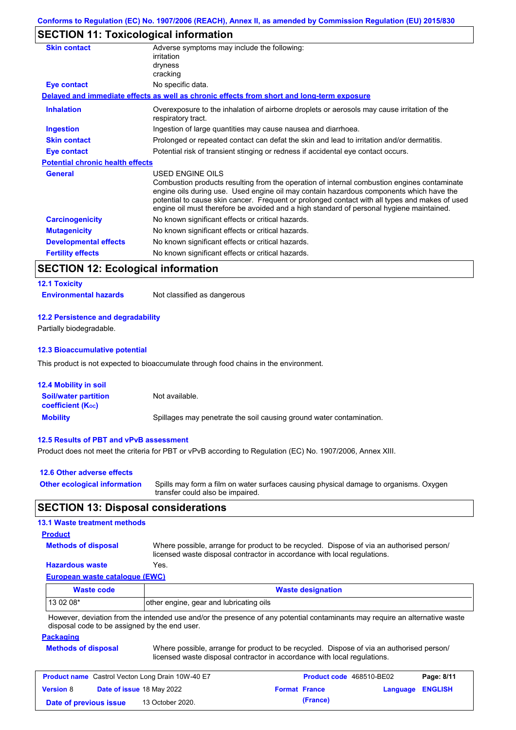# **SECTION 11: Toxicological information**

| <b>Skin contact</b>                     | Adverse symptoms may include the following:<br>irritation<br>dryness                                                                                                                                                                                                                                                                                                                                     |
|-----------------------------------------|----------------------------------------------------------------------------------------------------------------------------------------------------------------------------------------------------------------------------------------------------------------------------------------------------------------------------------------------------------------------------------------------------------|
|                                         | cracking                                                                                                                                                                                                                                                                                                                                                                                                 |
| <b>Eye contact</b>                      | No specific data.                                                                                                                                                                                                                                                                                                                                                                                        |
|                                         | Delayed and immediate effects as well as chronic effects from short and long-term exposure                                                                                                                                                                                                                                                                                                               |
| <b>Inhalation</b>                       | Overexposure to the inhalation of airborne droplets or aerosols may cause irritation of the<br>respiratory tract.                                                                                                                                                                                                                                                                                        |
| Ingestion                               | Ingestion of large quantities may cause nausea and diarrhoea.                                                                                                                                                                                                                                                                                                                                            |
| <b>Skin contact</b>                     | Prolonged or repeated contact can defat the skin and lead to irritation and/or dermatitis.                                                                                                                                                                                                                                                                                                               |
| Eye contact                             | Potential risk of transient stinging or redness if accidental eye contact occurs.                                                                                                                                                                                                                                                                                                                        |
| <b>Potential chronic health effects</b> |                                                                                                                                                                                                                                                                                                                                                                                                          |
| <b>General</b>                          | USED ENGINE OILS<br>Combustion products resulting from the operation of internal combustion engines contaminate<br>engine oils during use. Used engine oil may contain hazardous components which have the<br>potential to cause skin cancer. Frequent or prolonged contact with all types and makes of used<br>engine oil must therefore be avoided and a high standard of personal hygiene maintained. |
| <b>Carcinogenicity</b>                  | No known significant effects or critical hazards.                                                                                                                                                                                                                                                                                                                                                        |
| <b>Mutagenicity</b>                     | No known significant effects or critical hazards.                                                                                                                                                                                                                                                                                                                                                        |
| <b>Developmental effects</b>            | No known significant effects or critical hazards.                                                                                                                                                                                                                                                                                                                                                        |
| <b>Fertility effects</b>                | No known significant effects or critical hazards.                                                                                                                                                                                                                                                                                                                                                        |

# **SECTION 12: Ecological information**

# **12.1 Toxicity**

**Environmental hazards** Not classified as dangerous

#### **12.2 Persistence and degradability**

Partially biodegradable.

#### **12.3 Bioaccumulative potential**

This product is not expected to bioaccumulate through food chains in the environment.

| <b>12.4 Mobility in soil</b>                                  |                                                                      |
|---------------------------------------------------------------|----------------------------------------------------------------------|
| <b>Soil/water partition</b><br>coefficient (K <sub>oc</sub> ) | Not available.                                                       |
| <b>Mobility</b>                                               | Spillages may penetrate the soil causing ground water contamination. |

#### **12.5 Results of PBT and vPvB assessment**

Product does not meet the criteria for PBT or vPvB according to Regulation (EC) No. 1907/2006, Annex XIII.

| 12.6 Other adverse effects          |                                                                                                                           |
|-------------------------------------|---------------------------------------------------------------------------------------------------------------------------|
| <b>Other ecological information</b> | Spills may form a film on water surfaces causing physical damage to organisms. Oxygen<br>transfer could also be impaired. |

## **SECTION 13: Disposal considerations**

#### **13.1 Waste treatment methods**

#### **Product**

**Methods of disposal**

Where possible, arrange for product to be recycled. Dispose of via an authorised person/ licensed waste disposal contractor in accordance with local regulations.

## **Hazardous waste** Yes.

**European waste catalogue (EWC)**

| <b>Waste code</b> | <b>Waste designation</b>                |  |  |
|-------------------|-----------------------------------------|--|--|
| $130208*$         | other engine, gear and lubricating oils |  |  |
| .<br>.            | .<br>$\cdots$                           |  |  |

However, deviation from the intended use and/or the presence of any potential contaminants may require an alternative waste disposal code to be assigned by the end user.

#### **Packaging**

| <b>Methods of disposal</b> | Where possible, arrange for product to be recycled. Dispose of via an authorised person/ |
|----------------------------|------------------------------------------------------------------------------------------|
|                            | licensed waste disposal contractor in accordance with local regulations.                 |

| <b>Product name</b> Castrol Vecton Long Drain 10W-40 E7 |  |                           | <b>Product code</b> 468510-BE02 |                      | Page: 8/11              |  |
|---------------------------------------------------------|--|---------------------------|---------------------------------|----------------------|-------------------------|--|
| <b>Version 8</b>                                        |  | Date of issue 18 May 2022 |                                 | <b>Format France</b> | <b>Language ENGLISH</b> |  |
| Date of previous issue                                  |  | 13 October 2020.          |                                 | (France)             |                         |  |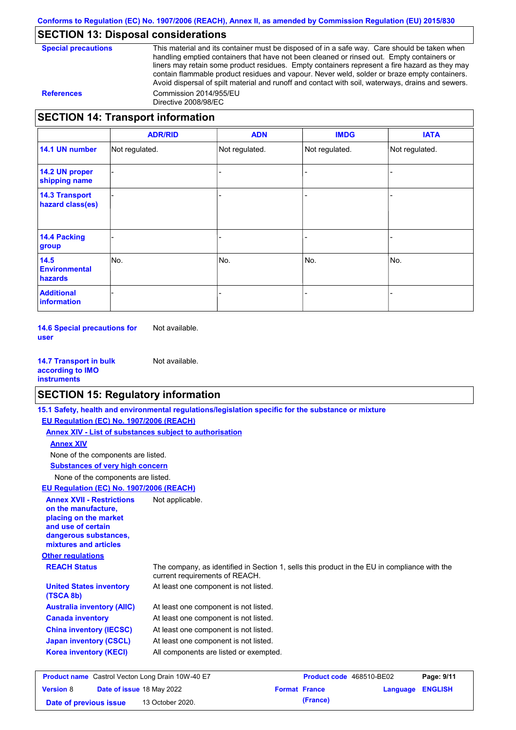## **SECTION 13: Disposal considerations**

This material and its container must be disposed of in a safe way. Care should be taken when handling emptied containers that have not been cleaned or rinsed out. Empty containers or liners may retain some product residues. Empty containers represent a fire hazard as they may contain flammable product residues and vapour. Never weld, solder or braze empty containers. Avoid dispersal of spilt material and runoff and contact with soil, waterways, drains and sewers. **References** Commission 2014/955/EU Directive 2008/98/EC

## **SECTION 14: Transport information**

|                                           | <b>ADR/RID</b> | <b>ADN</b>     | <b>IMDG</b>    | <b>IATA</b>    |
|-------------------------------------------|----------------|----------------|----------------|----------------|
| 14.1 UN number                            | Not regulated. | Not regulated. | Not regulated. | Not regulated. |
| 14.2 UN proper<br>shipping name           |                |                |                |                |
| <b>14.3 Transport</b><br>hazard class(es) |                |                |                |                |
| <b>14.4 Packing</b><br>group              |                |                |                |                |
| 14.5<br><b>Environmental</b><br>hazards   | No.            | No.            | No.            | No.            |
| <b>Additional</b><br>information          |                |                |                |                |

**14.6 Special precautions for user** Not available.

**14.7 Transport in bulk according to IMO instruments** Not available.

## **SECTION 15: Regulatory information**

|                                                                                                                                                          | 15.1 Safety, health and environmental regulations/legislation specific for the substance or mixture                            |                          |          |                |
|----------------------------------------------------------------------------------------------------------------------------------------------------------|--------------------------------------------------------------------------------------------------------------------------------|--------------------------|----------|----------------|
| EU Regulation (EC) No. 1907/2006 (REACH)                                                                                                                 |                                                                                                                                |                          |          |                |
|                                                                                                                                                          | Annex XIV - List of substances subject to authorisation                                                                        |                          |          |                |
| <b>Annex XIV</b>                                                                                                                                         |                                                                                                                                |                          |          |                |
| None of the components are listed.                                                                                                                       |                                                                                                                                |                          |          |                |
| <b>Substances of very high concern</b>                                                                                                                   |                                                                                                                                |                          |          |                |
| None of the components are listed.                                                                                                                       |                                                                                                                                |                          |          |                |
| EU Regulation (EC) No. 1907/2006 (REACH)                                                                                                                 |                                                                                                                                |                          |          |                |
| <b>Annex XVII - Restrictions</b><br>on the manufacture.<br>placing on the market<br>and use of certain<br>dangerous substances,<br>mixtures and articles | Not applicable.                                                                                                                |                          |          |                |
| <b>Other regulations</b>                                                                                                                                 |                                                                                                                                |                          |          |                |
| <b>REACH Status</b>                                                                                                                                      | The company, as identified in Section 1, sells this product in the EU in compliance with the<br>current requirements of REACH. |                          |          |                |
| <b>United States inventory</b><br>(TSCA 8b)                                                                                                              | At least one component is not listed.                                                                                          |                          |          |                |
| <b>Australia inventory (AIIC)</b>                                                                                                                        | At least one component is not listed.                                                                                          |                          |          |                |
| <b>Canada inventory</b>                                                                                                                                  | At least one component is not listed.                                                                                          |                          |          |                |
| <b>China inventory (IECSC)</b>                                                                                                                           | At least one component is not listed.                                                                                          |                          |          |                |
| <b>Japan inventory (CSCL)</b>                                                                                                                            | At least one component is not listed.                                                                                          |                          |          |                |
| <b>Korea inventory (KECI)</b>                                                                                                                            | All components are listed or exempted.                                                                                         |                          |          |                |
| <b>Product name</b> Castrol Vecton Long Drain 10W-40 E7                                                                                                  |                                                                                                                                | Product code 468510-BE02 |          | Page: 9/11     |
| <b>Version 8</b><br>Date of issue 18 May 2022                                                                                                            |                                                                                                                                | <b>Format France</b>     | Language | <b>ENGLISH</b> |

**Date of previous issue (France)** 13 October 2020.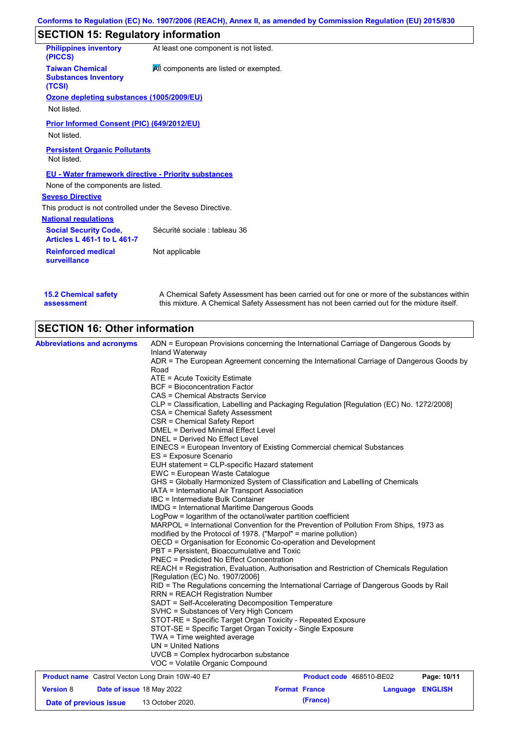# **SECTION 15: Regulatory information**

| <b>Philippines inventory</b><br>(PICCS)                            | At least one component is not listed.  |
|--------------------------------------------------------------------|----------------------------------------|
| <b>Taiwan Chemical</b><br><b>Substances Inventory</b><br>(TCSI)    | All components are listed or exempted. |
| Ozone depleting substances (1005/2009/EU)                          |                                        |
| Not listed.                                                        |                                        |
| <b>Prior Informed Consent (PIC) (649/2012/EU)</b>                  |                                        |
| Not listed.                                                        |                                        |
| <b>Persistent Organic Pollutants</b><br>Not listed.                |                                        |
| <b>EU - Water framework directive - Priority substances</b>        |                                        |
| None of the components are listed.                                 |                                        |
| <b>Seveso Directive</b>                                            |                                        |
| This product is not controlled under the Seveso Directive.         |                                        |
| <b>National regulations</b>                                        |                                        |
| <b>Social Security Code,</b><br><b>Articles L 461-1 to L 461-7</b> | Sécurité sociale : tableau 36          |
| <b>Reinforced medical</b><br>surveillance                          | Not applicable                         |
|                                                                    |                                        |

| <b>15.2 Chemical safety</b> | A Chemical Safety Assessment has been carried out for one or more of the substances within  |
|-----------------------------|---------------------------------------------------------------------------------------------|
| assessment                  | this mixture. A Chemical Safety Assessment has not been carried out for the mixture itself. |

# **SECTION 16: Other information**

| <b>Abbreviations and acronyms</b>                       |                                                                                                                                                                                                                                                                                                                      | ADN = European Provisions concerning the International Carriage of Dangerous Goods by    |  |                  |  |  |
|---------------------------------------------------------|----------------------------------------------------------------------------------------------------------------------------------------------------------------------------------------------------------------------------------------------------------------------------------------------------------------------|------------------------------------------------------------------------------------------|--|------------------|--|--|
|                                                         | Inland Waterway<br>Road                                                                                                                                                                                                                                                                                              | ADR = The European Agreement concerning the International Carriage of Dangerous Goods by |  |                  |  |  |
|                                                         | ATE = Acute Toxicity Estimate                                                                                                                                                                                                                                                                                        |                                                                                          |  |                  |  |  |
|                                                         | <b>BCF</b> = Bioconcentration Factor                                                                                                                                                                                                                                                                                 |                                                                                          |  |                  |  |  |
|                                                         | CAS = Chemical Abstracts Service                                                                                                                                                                                                                                                                                     |                                                                                          |  |                  |  |  |
|                                                         |                                                                                                                                                                                                                                                                                                                      | CLP = Classification, Labelling and Packaging Regulation [Regulation (EC) No. 1272/2008] |  |                  |  |  |
|                                                         | CSA = Chemical Safety Assessment                                                                                                                                                                                                                                                                                     |                                                                                          |  |                  |  |  |
|                                                         | CSR = Chemical Safety Report                                                                                                                                                                                                                                                                                         |                                                                                          |  |                  |  |  |
|                                                         | <b>DMEL = Derived Minimal Effect Level</b>                                                                                                                                                                                                                                                                           |                                                                                          |  |                  |  |  |
|                                                         | DNEL = Derived No Effect Level                                                                                                                                                                                                                                                                                       |                                                                                          |  |                  |  |  |
|                                                         |                                                                                                                                                                                                                                                                                                                      | EINECS = European Inventory of Existing Commercial chemical Substances                   |  |                  |  |  |
|                                                         | ES = Exposure Scenario                                                                                                                                                                                                                                                                                               |                                                                                          |  |                  |  |  |
|                                                         | EUH statement = CLP-specific Hazard statement                                                                                                                                                                                                                                                                        |                                                                                          |  |                  |  |  |
|                                                         | EWC = European Waste Catalogue                                                                                                                                                                                                                                                                                       |                                                                                          |  |                  |  |  |
|                                                         | GHS = Globally Harmonized System of Classification and Labelling of Chemicals                                                                                                                                                                                                                                        |                                                                                          |  |                  |  |  |
|                                                         | IATA = International Air Transport Association<br>IBC = Intermediate Bulk Container<br><b>IMDG</b> = International Maritime Dangerous Goods                                                                                                                                                                          |                                                                                          |  |                  |  |  |
|                                                         |                                                                                                                                                                                                                                                                                                                      |                                                                                          |  |                  |  |  |
|                                                         |                                                                                                                                                                                                                                                                                                                      |                                                                                          |  |                  |  |  |
|                                                         | LogPow = logarithm of the octanol/water partition coefficient<br>MARPOL = International Convention for the Prevention of Pollution From Ships, 1973 as<br>modified by the Protocol of 1978. ("Marpol" = marine pollution)                                                                                            |                                                                                          |  |                  |  |  |
|                                                         |                                                                                                                                                                                                                                                                                                                      |                                                                                          |  |                  |  |  |
|                                                         | OECD = Organisation for Economic Co-operation and Development<br>PBT = Persistent, Bioaccumulative and Toxic<br><b>PNEC = Predicted No Effect Concentration</b>                                                                                                                                                      |                                                                                          |  |                  |  |  |
|                                                         |                                                                                                                                                                                                                                                                                                                      |                                                                                          |  |                  |  |  |
|                                                         |                                                                                                                                                                                                                                                                                                                      |                                                                                          |  |                  |  |  |
|                                                         | REACH = Registration, Evaluation, Authorisation and Restriction of Chemicals Regulation<br>[Regulation (EC) No. 1907/2006]<br>RID = The Regulations concerning the International Carriage of Dangerous Goods by Rail<br><b>RRN = REACH Registration Number</b><br>SADT = Self-Accelerating Decomposition Temperature |                                                                                          |  |                  |  |  |
|                                                         |                                                                                                                                                                                                                                                                                                                      |                                                                                          |  |                  |  |  |
|                                                         |                                                                                                                                                                                                                                                                                                                      |                                                                                          |  |                  |  |  |
|                                                         |                                                                                                                                                                                                                                                                                                                      |                                                                                          |  |                  |  |  |
|                                                         |                                                                                                                                                                                                                                                                                                                      |                                                                                          |  |                  |  |  |
|                                                         | SVHC = Substances of Very High Concern                                                                                                                                                                                                                                                                               |                                                                                          |  |                  |  |  |
|                                                         | STOT-RE = Specific Target Organ Toxicity - Repeated Exposure                                                                                                                                                                                                                                                         |                                                                                          |  |                  |  |  |
|                                                         | STOT-SE = Specific Target Organ Toxicity - Single Exposure                                                                                                                                                                                                                                                           |                                                                                          |  |                  |  |  |
|                                                         | TWA = Time weighted average                                                                                                                                                                                                                                                                                          |                                                                                          |  |                  |  |  |
|                                                         | $UN = United Nations$                                                                                                                                                                                                                                                                                                |                                                                                          |  |                  |  |  |
|                                                         | UVCB = Complex hydrocarbon substance<br>VOC = Volatile Organic Compound                                                                                                                                                                                                                                              |                                                                                          |  |                  |  |  |
| <b>Product name</b> Castrol Vecton Long Drain 10W-40 E7 |                                                                                                                                                                                                                                                                                                                      | Product code 468510-BE02                                                                 |  | Page: 10/11      |  |  |
| <b>Version 8</b><br><b>Date of issue 18 May 2022</b>    |                                                                                                                                                                                                                                                                                                                      | <b>Format France</b>                                                                     |  | Language ENGLISH |  |  |

**Date of previous issue (France)** 13 October 2020.